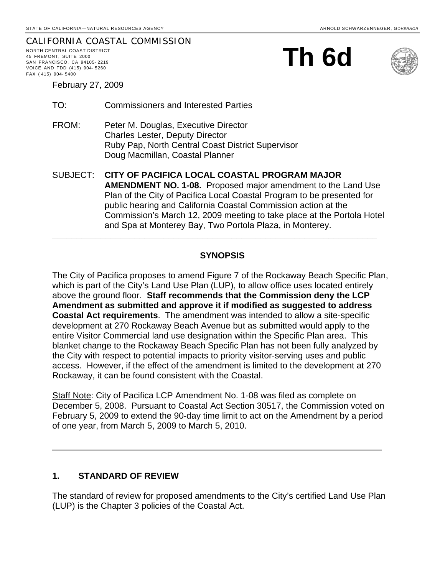#### CALIFORNIA COASTAL COMMISSION NORTH CENTRAL COAST DISTRICT 45 FREMONT, SUITE 2000 SAN FRANCISCO, CA 94105- 2219 VOICE AND TDD (415) 904- 5260 FAX ( 415) 904- 5400





February 27, 2009

- TO: Commissioners and Interested Parties
- FROM: Peter M. Douglas, Executive Director Charles Lester, Deputy Director Ruby Pap, North Central Coast District Supervisor Doug Macmillan, Coastal Planner
- SUBJECT: **CITY OF PACIFICA LOCAL COASTAL PROGRAM MAJOR AMENDMENT NO. 1-08.** Proposed major amendment to the Land Use Plan of the City of Pacifica Local Coastal Program to be presented for public hearing and California Coastal Commission action at the Commission's March 12, 2009 meeting to take place at the Portola Hotel and Spa at Monterey Bay, Two Portola Plaza, in Monterey.

**\_\_\_\_\_\_\_\_\_\_\_\_\_\_\_\_\_\_\_\_\_\_\_\_\_\_\_\_\_\_\_\_\_\_\_\_\_\_\_\_\_\_\_\_\_\_\_\_\_\_\_\_\_\_\_\_\_\_\_\_\_\_\_\_\_\_\_** 

## **SYNOPSIS**

The City of Pacifica proposes to amend Figure 7 of the Rockaway Beach Specific Plan, which is part of the City's Land Use Plan (LUP), to allow office uses located entirely above the ground floor. **Staff recommends that the Commission deny the LCP Amendment as submitted and approve it if modified as suggested to address Coastal Act requirements**. The amendment was intended to allow a site-specific development at 270 Rockaway Beach Avenue but as submitted would apply to the entire Visitor Commercial land use designation within the Specific Plan area. This blanket change to the Rockaway Beach Specific Plan has not been fully analyzed by the City with respect to potential impacts to priority visitor-serving uses and public access. However, if the effect of the amendment is limited to the development at 270 Rockaway, it can be found consistent with the Coastal.

Staff Note: City of Pacifica LCP Amendment No. 1-08 was filed as complete on December 5, 2008. Pursuant to Coastal Act Section 30517, the Commission voted on February 5, 2009 to extend the 90-day time limit to act on the Amendment by a period of one year, from March 5, 2009 to March 5, 2010.

 $\_$  , and the contribution of the contribution of  $\mathcal{L}_1$  , and the contribution of  $\mathcal{L}_2$ 

## **1. STANDARD OF REVIEW**

The standard of review for proposed amendments to the City's certified Land Use Plan (LUP) is the Chapter 3 policies of the Coastal Act.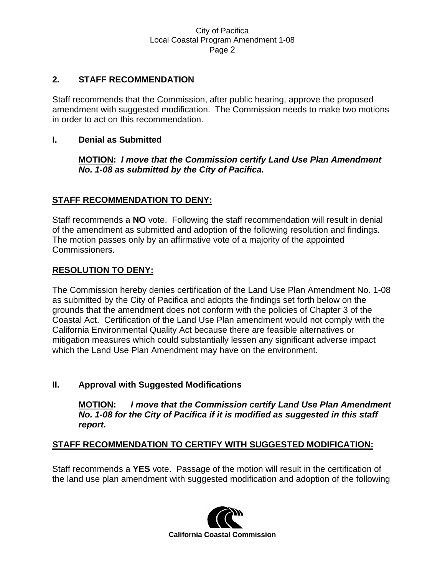## **2. STAFF RECOMMENDATION**

Staff recommends that the Commission, after public hearing, approve the proposed amendment with suggested modification. The Commission needs to make two motions in order to act on this recommendation.

## **I. Denial as Submitted**

**MOTION:** *I move that the Commission certify Land Use Plan Amendment No. 1-08 as submitted by the City of Pacifica.*

## **STAFF RECOMMENDATION TO DENY:**

Staff recommends a **NO** vote. Following the staff recommendation will result in denial of the amendment as submitted and adoption of the following resolution and findings. The motion passes only by an affirmative vote of a majority of the appointed Commissioners.

## **RESOLUTION TO DENY:**

The Commission hereby denies certification of the Land Use Plan Amendment No. 1-08 as submitted by the City of Pacifica and adopts the findings set forth below on the grounds that the amendment does not conform with the policies of Chapter 3 of the Coastal Act. Certification of the Land Use Plan amendment would not comply with the California Environmental Quality Act because there are feasible alternatives or mitigation measures which could substantially lessen any significant adverse impact which the Land Use Plan Amendment may have on the environment.

## **II. Approval with Suggested Modifications**

**MOTION:** *I move that the Commission certify Land Use Plan Amendment No. 1-08 for the City of Pacifica if it is modified as suggested in this staff report.* 

## **STAFF RECOMMENDATION TO CERTIFY WITH SUGGESTED MODIFICATION:**

Staff recommends a **YES** vote. Passage of the motion will result in the certification of the land use plan amendment with suggested modification and adoption of the following

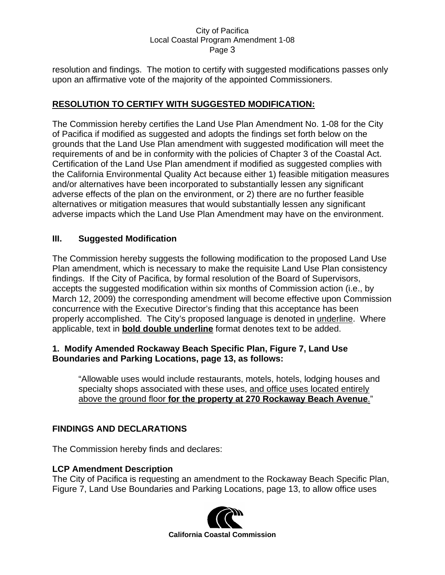resolution and findings. The motion to certify with suggested modifications passes only upon an affirmative vote of the majority of the appointed Commissioners.

## **RESOLUTION TO CERTIFY WITH SUGGESTED MODIFICATION:**

The Commission hereby certifies the Land Use Plan Amendment No. 1-08 for the City of Pacifica if modified as suggested and adopts the findings set forth below on the grounds that the Land Use Plan amendment with suggested modification will meet the requirements of and be in conformity with the policies of Chapter 3 of the Coastal Act. Certification of the Land Use Plan amendment if modified as suggested complies with the California Environmental Quality Act because either 1) feasible mitigation measures and/or alternatives have been incorporated to substantially lessen any significant adverse effects of the plan on the environment, or 2) there are no further feasible alternatives or mitigation measures that would substantially lessen any significant adverse impacts which the Land Use Plan Amendment may have on the environment.

## **III. Suggested Modification**

The Commission hereby suggests the following modification to the proposed Land Use Plan amendment, which is necessary to make the requisite Land Use Plan consistency findings. If the City of Pacifica, by formal resolution of the Board of Supervisors, accepts the suggested modification within six months of Commission action (i.e., by March 12, 2009) the corresponding amendment will become effective upon Commission concurrence with the Executive Director's finding that this acceptance has been properly accomplished. The City's proposed language is denoted in underline. Where applicable, text in **bold double underline** format denotes text to be added.

## **1. Modify Amended Rockaway Beach Specific Plan, Figure 7, Land Use Boundaries and Parking Locations, page 13, as follows:**

"Allowable uses would include restaurants, motels, hotels, lodging houses and specialty shops associated with these uses, and office uses located entirely above the ground floor **for the property at 270 Rockaway Beach Avenue**."

# **FINDINGS AND DECLARATIONS**

The Commission hereby finds and declares:

## **LCP Amendment Description**

The City of Pacifica is requesting an amendment to the Rockaway Beach Specific Plan, Figure 7, Land Use Boundaries and Parking Locations, page 13, to allow office uses

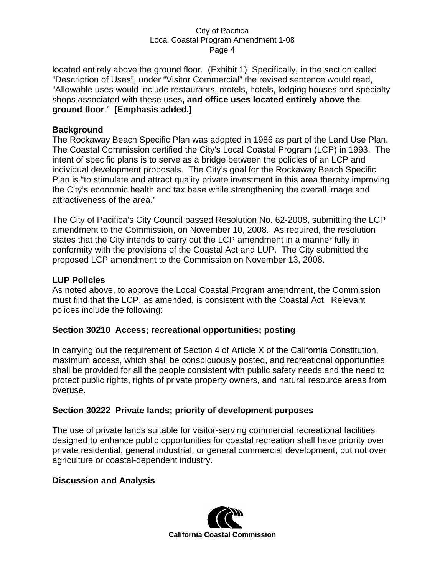located entirely above the ground floor. (Exhibit 1) Specifically, in the section called "Description of Uses", under "Visitor Commercial" the revised sentence would read, "Allowable uses would include restaurants, motels, hotels, lodging houses and specialty shops associated with these uses**, and office uses located entirely above the ground floor**." **[Emphasis added.]**

## **Background**

The Rockaway Beach Specific Plan was adopted in 1986 as part of the Land Use Plan. The Coastal Commission certified the City's Local Coastal Program (LCP) in 1993. The intent of specific plans is to serve as a bridge between the policies of an LCP and individual development proposals. The City's goal for the Rockaway Beach Specific Plan is "to stimulate and attract quality private investment in this area thereby improving the City's economic health and tax base while strengthening the overall image and attractiveness of the area."

The City of Pacifica's City Council passed Resolution No. 62-2008, submitting the LCP amendment to the Commission, on November 10, 2008. As required, the resolution states that the City intends to carry out the LCP amendment in a manner fully in conformity with the provisions of the Coastal Act and LUP. The City submitted the proposed LCP amendment to the Commission on November 13, 2008.

## **LUP Policies**

As noted above, to approve the Local Coastal Program amendment, the Commission must find that the LCP, as amended, is consistent with the Coastal Act. Relevant polices include the following:

## **Section 30210 Access; recreational opportunities; posting**

In carrying out the requirement of Section 4 of Article X of the California Constitution, maximum access, which shall be conspicuously posted, and recreational opportunities shall be provided for all the people consistent with public safety needs and the need to protect public rights, rights of private property owners, and natural resource areas from overuse.

## **Section 30222 Private lands; priority of development purposes**

The use of private lands suitable for visitor-serving commercial recreational facilities designed to enhance public opportunities for coastal recreation shall have priority over private residential, general industrial, or general commercial development, but not over agriculture or coastal-dependent industry.

## **Discussion and Analysis**

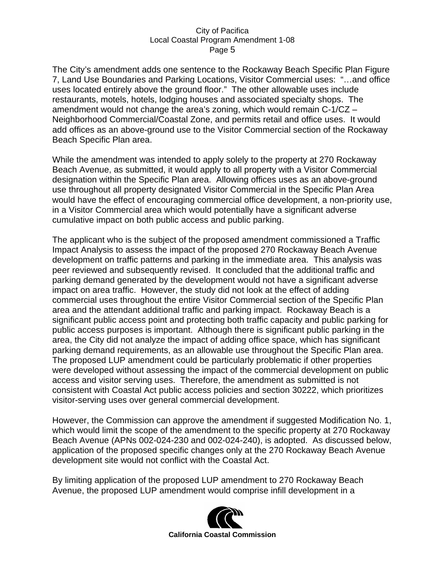The City's amendment adds one sentence to the Rockaway Beach Specific Plan Figure 7, Land Use Boundaries and Parking Locations, Visitor Commercial uses: "…and office uses located entirely above the ground floor." The other allowable uses include restaurants, motels, hotels, lodging houses and associated specialty shops. The amendment would not change the area's zoning, which would remain C-1/CZ – Neighborhood Commercial/Coastal Zone, and permits retail and office uses. It would add offices as an above-ground use to the Visitor Commercial section of the Rockaway Beach Specific Plan area.

While the amendment was intended to apply solely to the property at 270 Rockaway Beach Avenue, as submitted, it would apply to all property with a Visitor Commercial designation within the Specific Plan area. Allowing offices uses as an above-ground use throughout all property designated Visitor Commercial in the Specific Plan Area would have the effect of encouraging commercial office development, a non-priority use, in a Visitor Commercial area which would potentially have a significant adverse cumulative impact on both public access and public parking.

The applicant who is the subject of the proposed amendment commissioned a Traffic Impact Analysis to assess the impact of the proposed 270 Rockaway Beach Avenue development on traffic patterns and parking in the immediate area. This analysis was peer reviewed and subsequently revised. It concluded that the additional traffic and parking demand generated by the development would not have a significant adverse impact on area traffic. However, the study did not look at the effect of adding commercial uses throughout the entire Visitor Commercial section of the Specific Plan area and the attendant additional traffic and parking impact. Rockaway Beach is a significant public access point and protecting both traffic capacity and public parking for public access purposes is important. Although there is significant public parking in the area, the City did not analyze the impact of adding office space, which has significant parking demand requirements, as an allowable use throughout the Specific Plan area. The proposed LUP amendment could be particularly problematic if other properties were developed without assessing the impact of the commercial development on public access and visitor serving uses. Therefore, the amendment as submitted is not consistent with Coastal Act public access policies and section 30222, which prioritizes visitor-serving uses over general commercial development.

However, the Commission can approve the amendment if suggested Modification No. 1, which would limit the scope of the amendment to the specific property at 270 Rockaway Beach Avenue (APNs 002-024-230 and 002-024-240), is adopted. As discussed below, application of the proposed specific changes only at the 270 Rockaway Beach Avenue development site would not conflict with the Coastal Act.

By limiting application of the proposed LUP amendment to 270 Rockaway Beach Avenue, the proposed LUP amendment would comprise infill development in a

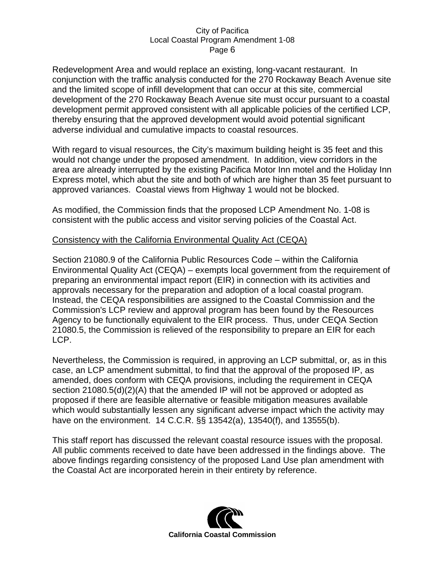Redevelopment Area and would replace an existing, long-vacant restaurant. In conjunction with the traffic analysis conducted for the 270 Rockaway Beach Avenue site and the limited scope of infill development that can occur at this site, commercial development of the 270 Rockaway Beach Avenue site must occur pursuant to a coastal development permit approved consistent with all applicable policies of the certified LCP, thereby ensuring that the approved development would avoid potential significant adverse individual and cumulative impacts to coastal resources.

With regard to visual resources, the City's maximum building height is 35 feet and this would not change under the proposed amendment. In addition, view corridors in the area are already interrupted by the existing Pacifica Motor Inn motel and the Holiday Inn Express motel, which abut the site and both of which are higher than 35 feet pursuant to approved variances. Coastal views from Highway 1 would not be blocked.

As modified, the Commission finds that the proposed LCP Amendment No. 1-08 is consistent with the public access and visitor serving policies of the Coastal Act.

## Consistency with the California Environmental Quality Act (CEQA)

Section 21080.9 of the California Public Resources Code – within the California Environmental Quality Act (CEQA) – exempts local government from the requirement of preparing an environmental impact report (EIR) in connection with its activities and approvals necessary for the preparation and adoption of a local coastal program. Instead, the CEQA responsibilities are assigned to the Coastal Commission and the Commission's LCP review and approval program has been found by the Resources Agency to be functionally equivalent to the EIR process. Thus, under CEQA Section 21080.5, the Commission is relieved of the responsibility to prepare an EIR for each LCP.

Nevertheless, the Commission is required, in approving an LCP submittal, or, as in this case, an LCP amendment submittal, to find that the approval of the proposed IP, as amended, does conform with CEQA provisions, including the requirement in CEQA section 21080.5(d)(2)(A) that the amended IP will not be approved or adopted as proposed if there are feasible alternative or feasible mitigation measures available which would substantially lessen any significant adverse impact which the activity may have on the environment. 14 C.C.R. §§ 13542(a), 13540(f), and 13555(b).

This staff report has discussed the relevant coastal resource issues with the proposal. All public comments received to date have been addressed in the findings above. The above findings regarding consistency of the proposed Land Use plan amendment with the Coastal Act are incorporated herein in their entirety by reference.

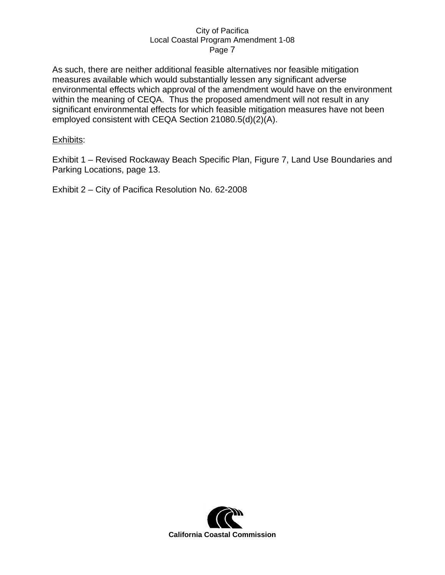As such, there are neither additional feasible alternatives nor feasible mitigation measures available which would substantially lessen any significant adverse environmental effects which approval of the amendment would have on the environment within the meaning of CEQA. Thus the proposed amendment will not result in any significant environmental effects for which feasible mitigation measures have not been employed consistent with CEQA Section 21080.5(d)(2)(A).

#### Exhibits:

Exhibit 1 – Revised Rockaway Beach Specific Plan, Figure 7, Land Use Boundaries and Parking Locations, page 13.

Exhibit 2 – City of Pacifica Resolution No. 62-2008

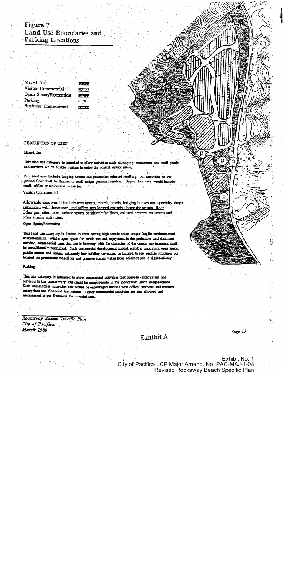# Figure 7 Land Use Boundaries and **Parking Locations**

| Mixed Use             |  |
|-----------------------|--|
| Visitor Commercial    |  |
| Open Space/Recreation |  |
| Parking               |  |
| Business Commercial   |  |

3330 7777 بيرسي ∘P.  $\overline{11111}$ 

#### **DESCRIPTION OF USES**

#### Mixed. Use

This land use category is intended to allow activities such as lodging, restaurants, and retail goods and services which enable visitors to enjoy the coastal environment.

Permitted uses include lodging houses and pedestrian oriented retailing. All activities on the ground floor shall be limited to retail and/or personal services. Upper floor uses would include retail, office or residential activities.

Visitor Commercial

Allowable uses would include restaurants, motels, hotels, lodging houses and specialty shops associated with these uses, and office uses located entirely above the ground floor. Other permitted uses include sports or athletic facilities, cultural centers, museums and other similar activities.

Open Space/Recreation

This land use category is limited to areas having high scenic value and/or fragile environmental characteristics. While open space for public use and enjoyment is the preferable and dominant activity, commercial uses that are in harmony with the character of the coastal environment shall be conditionally permitted. Such commercial development should result in maximum open space, public access and usage, extremely low building coverage, be limited to low profile structures not located on prominent ridgelines and preserve scenic vistas from adjacent public rights-of-way.

#### Parking

This use category is intended to allow commercial activities that provide employment and services to the community, but might be inappropriate in the Rockaway Beach neighborhood. Such commercial activities that would be encouraged include new office, business and research enterprises and financial institutions. Visitor commercial activities are also allowed and encouraged in the Business Commercial area.

Rockaway Beach Specific Plan City of Pacifica March 1986.

## $\mathbb{R}$ xhibit A

Page 13

р

FIFTELLI

Exhibit No. 1 City of Pacifica LCP Major Amend. No. PAC-MAJ-1-08 **Revised Rockaway Beach Specific Plan**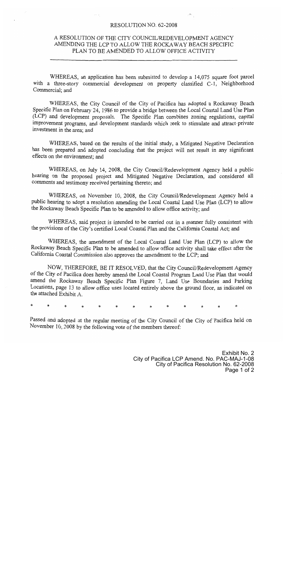#### RESOLUTION NO. 62-2008

#### A RESOLUTION OF THE CITY COUNCIL/REDEVELOPMENT AGENCY AMENDING THE LCP TO ALLOW THE ROCKAWAY BEACH SPECIFIC PLAN TO BE AMENDED TO ALLOW OFFICE ACTIVITY

WHEREAS, an application has been submitted to develop a 14,075 square foot parcel with a three-story commercial development on property classified C-1, Neighborhood Commercial; and

WHEREAS, the City Council of the City of Pacifica has adopted a Rockaway Beach Specific Plan on February 24, 1986 to provide a bridge between the Local Coastal Land Use Plan (LCP) and development proposals. The Specific Plan combines zoning regulations, capital improvement programs, and development standards which seek to stimulate and attract private investment in the area; and

WHEREAS, based on the results of the initial study, a Mitigated Negative Declaration has been prepared and adopted concluding that the project will not result in any significant effects on the environment; and

WHEREAS, on July 14, 2008, the City Council/Redevelopment Agency held a public hearing on the proposed project and Mitigated Negative Declaration, and considered all comments and testimony received pertaining thereto; and

WHEREAS, on November 10, 2008, the City Council/Redevelopment Agency held a public hearing to adopt a resolution amending the Local Coastal Land Use Plan (LCP) to allow the Rockaway Beach Specific Plan to be amended to allow office activity; and

WHEREAS, said project is intended to be carried out in a manner fully consistent with the provisions of the City's certified Local Coastal Plan and the California Coastal Act; and

WHEREAS, the amendment of the Local Coastal Land Use Plan (LCP) to allow the Rockaway Beach Specific Plan to be amended to allow office activity shall take effect after the California Coastal Commission also approves the amendment to the LCP; and

NOW, THEREFORE, BE IT RESOLVED, that the City Council/Redevelopment Agency of the City of Pacifica does hereby amend the Local Coastal Program Land Use Plan that would amend the Rockaway Beach Specific Plan Figure 7, Land Use Boundaries and Parking Locations, page 13 to allow office uses located entirely above the ground floor, as indicated on the attached Exhibit A.

Passed and adopted at the regular meeting of the City Council of the City of Pacifica held on November 10, 2008 by the following vote of the members thereof: